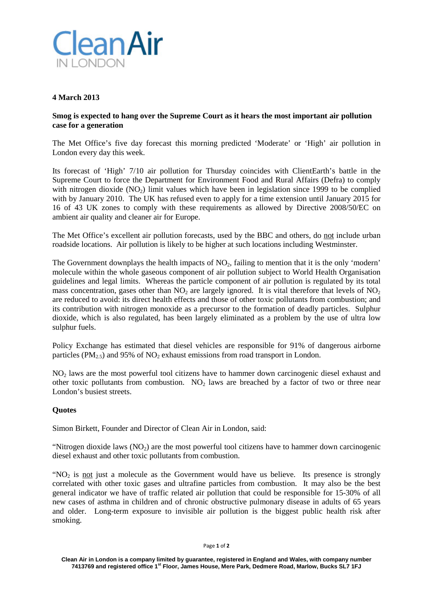

# **4 March 2013**

## **Smog is expected to hang over the Supreme Court as it hears the most important air pollution case for a generation**

The Met Office's five day forecast this morning predicted 'Moderate' or 'High' air pollution in London every day this week.

Its forecast of 'High' 7/10 air pollution for Thursday coincides with ClientEarth's battle in the Supreme Court to force the Department for Environment Food and Rural Affairs (Defra) to comply with nitrogen dioxide  $(NO<sub>2</sub>)$  limit values which have been in legislation since 1999 to be complied with by January 2010. The UK has refused even to apply for a time extension until January 2015 for 16 of 43 UK zones to comply with these requirements as allowed by Directive 2008/50/EC on ambient air quality and cleaner air for Europe.

The Met Office's excellent air pollution forecasts, used by the BBC and others, do not include urban roadside locations. Air pollution is likely to be higher at such locations including Westminster.

The Government downplays the health impacts of  $NO<sub>2</sub>$ , failing to mention that it is the only 'modern' molecule within the whole gaseous component of air pollution subject to World Health Organisation guidelines and legal limits. Whereas the particle component of air pollution is regulated by its total mass concentration, gases other than  $NO<sub>2</sub>$  are largely ignored. It is vital therefore that levels of  $NO<sub>2</sub>$ are reduced to avoid: its direct health effects and those of other toxic pollutants from combustion; and its contribution with nitrogen monoxide as a precursor to the formation of deadly particles. Sulphur dioxide, which is also regulated, has been largely eliminated as a problem by the use of ultra low sulphur fuels.

Policy Exchange has estimated that diesel vehicles are responsible for 91% of dangerous airborne particles (PM<sub>2.5</sub>) and 95% of NO<sub>2</sub> exhaust emissions from road transport in London.

NO2 laws are the most powerful tool citizens have to hammer down carcinogenic diesel exhaust and other toxic pollutants from combustion.  $NO<sub>2</sub>$  laws are breached by a factor of two or three near London's busiest streets.

## **Quotes**

Simon Birkett, Founder and Director of Clean Air in London, said:

"Nitrogen dioxide laws  $(NO<sub>2</sub>)$  are the most powerful tool citizens have to hammer down carcinogenic diesel exhaust and other toxic pollutants from combustion.

"NO<sub>2</sub> is not just a molecule as the Government would have us believe. Its presence is strongly correlated with other toxic gases and ultrafine particles from combustion. It may also be the best general indicator we have of traffic related air pollution that could be responsible for 15-30% of all new cases of asthma in children and of chronic obstructive pulmonary disease in adults of 65 years and older. Long-term exposure to invisible air pollution is the biggest public health risk after smoking.